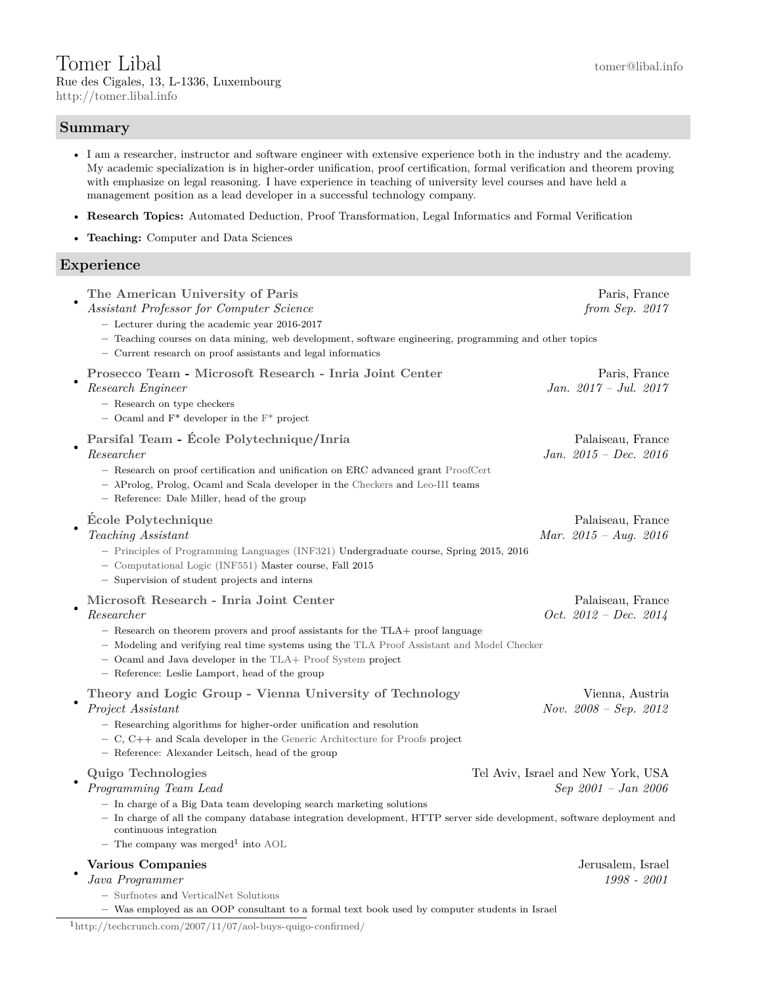# Tomer Libal [tomer@libal.info](mailto:tomer@libal.info)

Rue des Cigales, 13, L-1336, Luxembourg <http://tomer.libal.info>

# **Summary**

- I am a researcher, instructor and software engineer with extensive experience both in the industry and the academy. My academic specialization is in higher-order unification, proof certification, formal verification and theorem proving with emphasize on legal reasoning. I have experience in teaching of university level courses and have held a management position as a lead developer in a successful technology company.
- **Research Topics:** Automated Deduction, Proof Transformation, Legal Informatics and Formal Verification
- **Teaching:** Computer and Data Sciences

## **Experience**

| The American University of Paris<br>Assistant Professor for Computer Science<br>- Lecturer during the academic year 2016-2017<br>- Teaching courses on data mining, web development, software engineering, programming and other topics<br>- Current research on proof assistants and legal informatics                                                | Paris, France<br>from Sep. $2017$                         |
|--------------------------------------------------------------------------------------------------------------------------------------------------------------------------------------------------------------------------------------------------------------------------------------------------------------------------------------------------------|-----------------------------------------------------------|
| Prosecco Team - Microsoft Research - Inria Joint Center<br>Research Engineer<br>- Research on type checkers<br>- Ocaml and $F^*$ developer in the $F^*$ project                                                                                                                                                                                        | Paris, France<br>Jan. $2017 - Jul.$ $2017$                |
| Parsifal Team - École Polytechnique/Inria<br>$\emph{Researcher}$<br>- Research on proof certification and unification on ERC advanced grant ProofCert<br>$ \lambda$ Prolog, Prolog, Ocaml and Scala developer in the Checkers and Leo-III teams<br>- Reference: Dale Miller, head of the group                                                         | Palaiseau, France<br>Jan. $2015$ - Dec. $2016$            |
| <b>École Polytechnique</b><br>Teaching Assistant<br>- Principles of Programming Languages (INF321) Undergraduate course, Spring 2015, 2016<br>- Computational Logic (INF551) Master course, Fall 2015<br>- Supervision of student projects and interns                                                                                                 | Palaiseau, France<br>Mar. $2015 - Aug. 2016$              |
| Microsoft Research - Inria Joint Center<br>Researcher<br>- Research on theorem provers and proof assistants for the TLA+ proof language<br>- Modeling and verifying real time systems using the TLA Proof Assistant and Model Checker<br>- Ocaml and Java developer in the TLA+ Proof System project<br>- Reference: Leslie Lamport, head of the group | Palaiseau, France<br>Oct. $2012 - Dec.$ 2014              |
| Theory and Logic Group - Vienna University of Technology<br>Project Assistant<br>- Researching algorithms for higher-order unification and resolution<br>$-$ C, C++ and Scala developer in the Generic Architecture for Proofs project<br>- Reference: Alexander Leitsch, head of the group                                                            | Vienna, Austria<br>Nov. $2008 - Sep.$ $2012$              |
| Quigo Technologies<br>Programming Team Lead<br>$-$ In charge of a Big Data team developing search marketing solutions<br>- In charge of all the company database integration development, HTTP server side development, software deployment and<br>continuous integration<br>- The company was merged <sup>1</sup> into $AOL$                          | Tel Aviv, Israel and New York, USA<br>Sep 2001 – Jan 2006 |
| <b>Various Companies</b><br>Java Programmer<br>- Surfnotes and VerticalNet Solutions<br>- Was employed as an OOP consultant to a formal text book used by computer students in Israel                                                                                                                                                                  | Jerusalem, Israel<br>1998 - 2001                          |

<span id="page-0-0"></span> $1\,\mathrm{http://technrunch.com/2007/11/07/aol-buys-quigo-confirmed/}$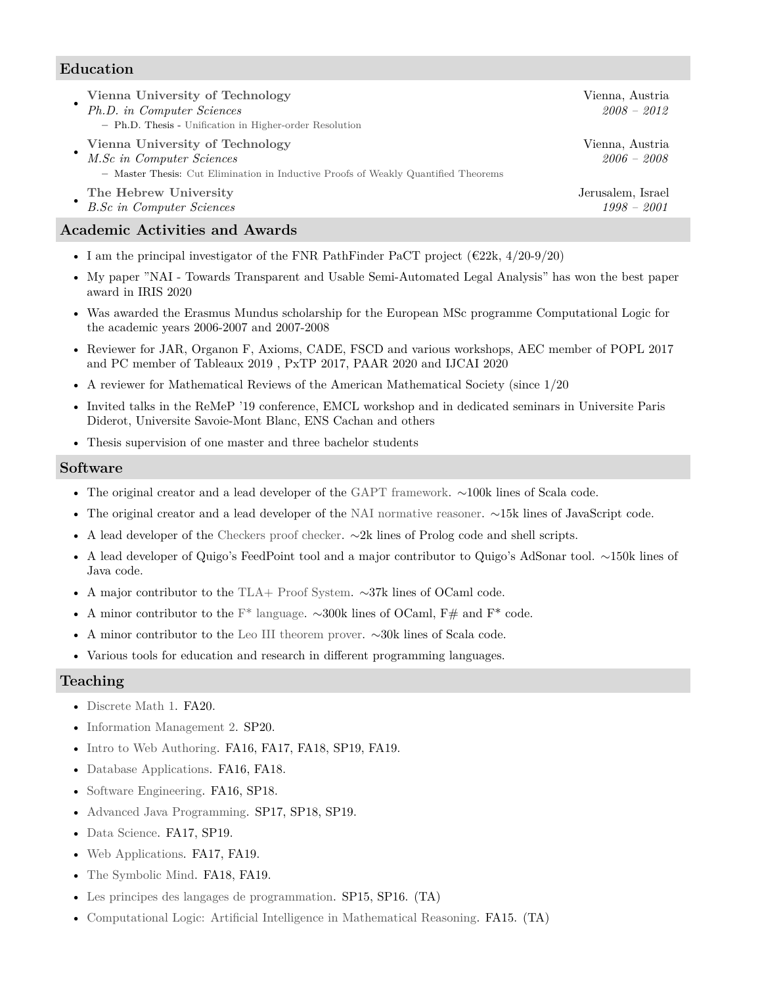## **Education**

| Vienna University of Technology<br>Ph.D. in Computer Sciences<br>- Ph.D. Thesis - Unification in Higher-order Resolution                           | Vienna, Austria<br>$2008 - 2012$   |
|----------------------------------------------------------------------------------------------------------------------------------------------------|------------------------------------|
| Vienna University of Technology<br>M.Sc in Computer Sciences<br>- Master Thesis: Cut Elimination in Inductive Proofs of Weakly Quantified Theorems | Vienna, Austria<br>$2006 - 2008$   |
| The Hebrew University<br><b>B.Sc in Computer Sciences</b>                                                                                          | Jerusalem, Israel<br>$1998 - 2001$ |

# **Academic Activities and Awards**

- I am the principal investigator of the FNR PathFinder PaCT project ( $\epsilon$ 22k, 4/20-9/20)
- My paper "NAI Towards Transparent and Usable Semi-Automated Legal Analysis" has won the best paper award in IRIS 2020
- Was awarded the Erasmus Mundus scholarship for the European MSc programme Computational Logic for the academic years 2006-2007 and 2007-2008
- Reviewer for JAR, Organon F, Axioms, CADE, FSCD and various workshops, AEC member of POPL 2017 and PC member of Tableaux 2019 , PxTP 2017, PAAR 2020 and IJCAI 2020
- A reviewer for Mathematical Reviews of the American Mathematical Society (since 1/20
- Invited talks in the ReMeP '19 conference, EMCL workshop and in dedicated seminars in Universite Paris Diderot, Universite Savoie-Mont Blanc, ENS Cachan and others
- Thesis supervision of one master and three bachelor students

### **Software**

- The original creator and a lead developer of the [GAPT framework.](https://www.logic.at/gapt/) ∼100k lines of Scala code.
- The original creator and a lead developer of the [NAI normative reasoner.](https://nai.uni.lu) ∼15k lines of JavaScript code.
- A lead developer of the [Checkers proof checker.](https://www.logic.at/gapt/) ∼2k lines of Prolog code and shell scripts.
- A lead developer of Quigo's FeedPoint tool and a major contributor to Quigo's AdSonar tool. ∼150k lines of Java code.
- A major contributor to the [TLA+ Proof System.](https://tla.msr-inria.inria.fr/tlaps/content/Home.html) ∼37k lines of OCaml code.
- A minor contributor to the [F\\* language.](https://www.fstar-lang.org/) ∼300k lines of OCaml, F# and F\* code.
- A minor contributor to the [Leo III theorem prover.](http://page.mi.fu-berlin.de/lex/leo3/) ∼30k lines of Scala code.
- Various tools for education and research in different programming languages.

### **Teaching**

- [Discrete Math 1.](https://wwwen.uni.lu/layout/set/print/studies/fstm/bachelor_in_computer_science/programme?f=BAACAINFOR&c=0007C9571) FA20.
- [Information Management 2.](https://wwwen.uni.lu/layout/set/print/studies/fstm/bachelor_in_computer_science/programme?f=BAACAINFOR&c=0007C7466) SP20.
- [Intro to Web Authoring.](https://my.aup.edu/academics/course-catalog/cs1005) FA16, FA17, FA18, SP19, FA19.
- [Database Applications.](https://my.aup.edu/academics/course-catalog/cs3068) FA16, FA18.
- [Software Engineering.](https://my.aup.edu/academics/course-catalog/cs3053) FA16, SP18.
- [Advanced Java Programming.](https://my.aup.edu/academics/course-catalog/cs1050) SP17, SP18, SP19.
- [Data Science.](https://my.aup.edu/academics/course-catalog/cs2091) FA17, SP19.
- [Web Applications.](https://my.aup.edu/academics/course-catalog/cs3051) FA17, FA19.
- [The Symbolic Mind.](https://my.aup.edu/academics/course-catalog/cs1091) FA18, FA19.
- [Les principes des langages de programmation.](http://www.enseignement.polytechnique.fr/informatique/INF321/) SP15, SP16. (TA)
- [Computational Logic: Artificial Intelligence in Mathematical Reasoning.](http://www.enseignement.polytechnique.fr/informatique/INF551/) FA15. (TA)